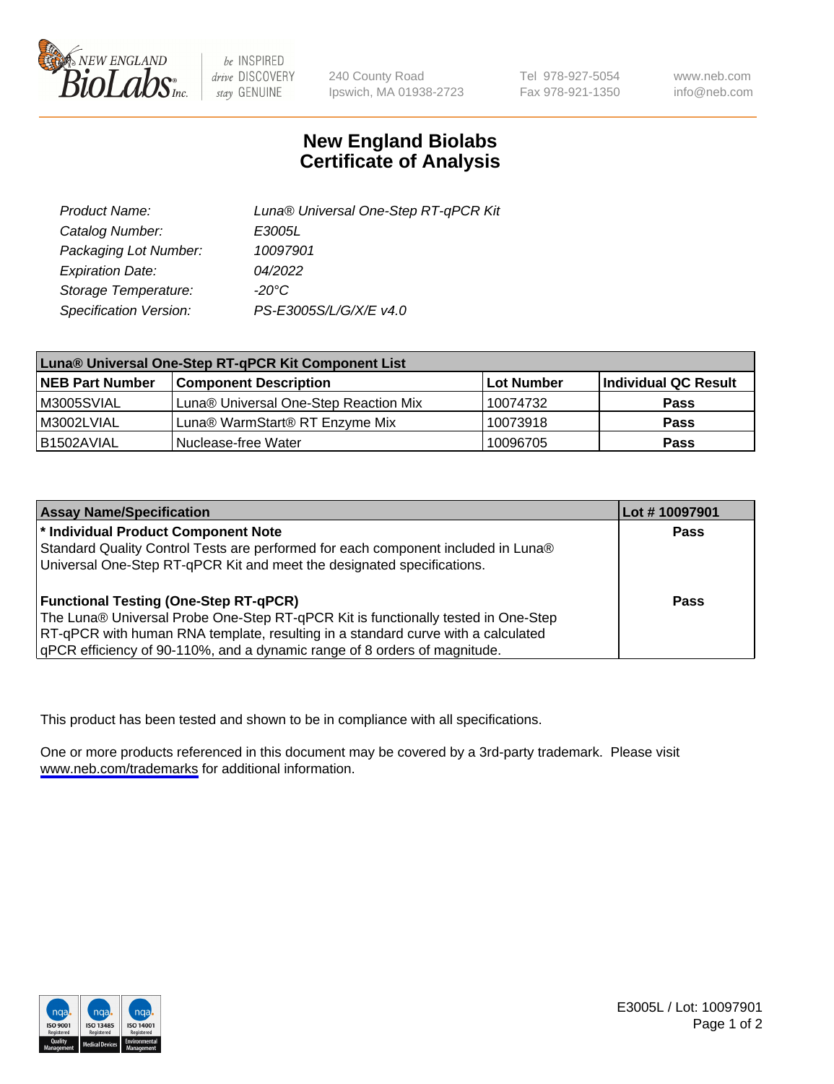

be INSPIRED drive DISCOVERY stay GENUINE

240 County Road Ipswich, MA 01938-2723 Tel 978-927-5054 Fax 978-921-1350

www.neb.com info@neb.com

## **New England Biolabs Certificate of Analysis**

| Product Name:           | Luna® Universal One-Step RT-qPCR Kit |  |
|-------------------------|--------------------------------------|--|
| Catalog Number:         | E3005L                               |  |
| Packaging Lot Number:   | 10097901                             |  |
| <b>Expiration Date:</b> | 04/2022                              |  |
| Storage Temperature:    | $-20^{\circ}$ C                      |  |
| Specification Version:  | PS-E3005S/L/G/X/E v4.0               |  |

| Luna® Universal One-Step RT-qPCR Kit Component List |                                       |            |                      |  |
|-----------------------------------------------------|---------------------------------------|------------|----------------------|--|
| <b>NEB Part Number</b>                              | <b>Component Description</b>          | Lot Number | Individual QC Result |  |
| M3005SVIAL                                          | Luna® Universal One-Step Reaction Mix | 10074732   | Pass                 |  |
| M3002LVIAL                                          | Luna® WarmStart® RT Enzyme Mix        | 10073918   | <b>Pass</b>          |  |
| B1502AVIAL                                          | Nuclease-free Water                   | 10096705   | <b>Pass</b>          |  |

| <b>Assay Name/Specification</b>                                                   | Lot # 10097901 |
|-----------------------------------------------------------------------------------|----------------|
| <sup>*</sup> Individual Product Component Note                                    | <b>Pass</b>    |
| Standard Quality Control Tests are performed for each component included in Luna® |                |
| Universal One-Step RT-qPCR Kit and meet the designated specifications.            |                |
|                                                                                   |                |
| <b>Functional Testing (One-Step RT-qPCR)</b>                                      | Pass           |
| The Luna® Universal Probe One-Step RT-qPCR Kit is functionally tested in One-Step |                |
| RT-qPCR with human RNA template, resulting in a standard curve with a calculated  |                |
| qPCR efficiency of 90-110%, and a dynamic range of 8 orders of magnitude.         |                |

This product has been tested and shown to be in compliance with all specifications.

One or more products referenced in this document may be covered by a 3rd-party trademark. Please visit <www.neb.com/trademarks>for additional information.